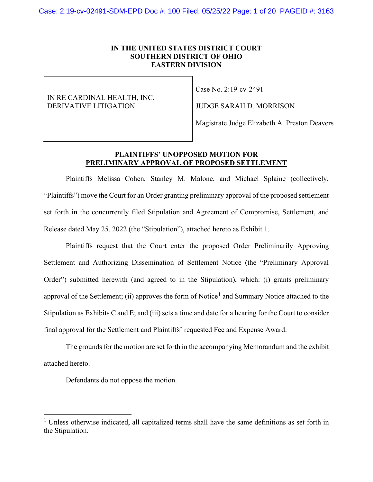#### **IN THE UNITED STATES DISTRICT COURT SOUTHERN DISTRICT OF OHIO EASTERN DIVISION**

#### IN RE CARDINAL HEALTH, INC. DERIVATIVE LITIGATION

Case No. 2:19-cv-2491

JUDGE SARAH D. MORRISON

Magistrate Judge Elizabeth A. Preston Deavers

### **PLAINTIFFS' UNOPPOSED MOTION FOR PRELIMINARY APPROVAL OF PROPOSED SETTLEMENT**

Plaintiffs Melissa Cohen, Stanley M. Malone, and Michael Splaine (collectively, "Plaintiffs") move the Court for an Order granting preliminary approval of the proposed settlement set forth in the concurrently filed Stipulation and Agreement of Compromise, Settlement, and Release dated May 25, 2022 (the "Stipulation"), attached hereto as Exhibit 1.

Plaintiffs request that the Court enter the proposed Order Preliminarily Approving Settlement and Authorizing Dissemination of Settlement Notice (the "Preliminary Approval Order") submitted herewith (and agreed to in the Stipulation), which: (i) grants preliminary approval of the Settlement; (ii) approves the form of Notice<sup>1</sup> and Summary Notice attached to the Stipulation as Exhibits C and E; and (iii) sets a time and date for a hearing for the Court to consider final approval for the Settlement and Plaintiffs' requested Fee and Expense Award.

The grounds for the motion are set forth in the accompanying Memorandum and the exhibit attached hereto.

Defendants do not oppose the motion.

<sup>&</sup>lt;sup>1</sup> Unless otherwise indicated, all capitalized terms shall have the same definitions as set forth in the Stipulation.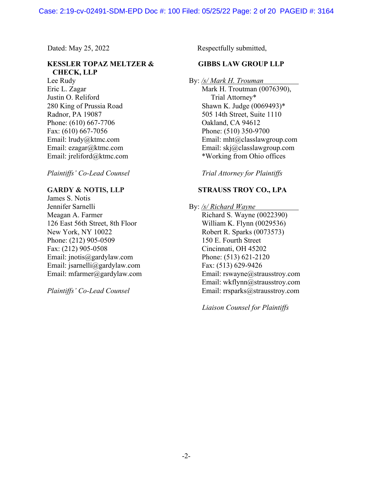## **KESSLER TOPAZ MELTZER & CHECK, LLP**

Lee Rudy Eric L. Zagar Justin O. Reliford 280 King of Prussia Road Radnor, PA 19087 Phone: (610) 667-7706 Fax: (610) 667-7056 Email: lrudy@ktmc.com Email: ezagar@ktmc.com Email: jreliford@ktmc.com

*Plaintiffs' Co-Lead Counsel* 

#### **GARDY & NOTIS, LLP**

James S. Notis Jennifer Sarnelli Meagan A. Farmer 126 East 56th Street, 8th Floor New York, NY 10022 Phone: (212) 905-0509 Fax: (212) 905-0508 Email: jnotis@gardylaw.com Email: jsarnelli@gardylaw.com Email: mfarmer@gardylaw.com

*Plaintiffs' Co-Lead Counsel* 

Dated: May 25, 2022 Respectfully submitted,

### **GIBBS LAW GROUP LLP**

By: */s/ Mark H. Trouman* 

 Mark H. Troutman (0076390), Trial Attorney\* Shawn K. Judge (0069493)\* 505 14th Street, Suite 1110 Oakland, CA 94612 Phone: (510) 350-9700 Email: mht@classlawgroup.com Email: skj@classlawgroup.com \*Working from Ohio offices

*Trial Attorney for Plaintiffs* 

## **STRAUSS TROY CO., LPA**

#### By: */s/ Richard Wayne*

 Richard S. Wayne (0022390) William K. Flynn (0029536) Robert R. Sparks (0073573) 150 E. Fourth Street Cincinnati, OH 45202 Phone: (513) 621-2120 Fax: (513) 629-9426 Email: rswayne@strausstroy.com Email: wkflynn@strausstroy.com Email: rrsparks@strausstroy.com

*Liaison Counsel for Plaintiffs*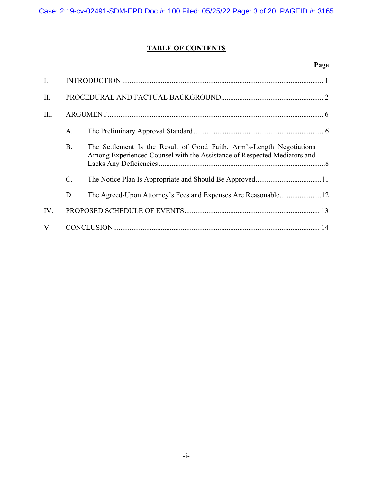# **TABLE OF CONTENTS**

# **Page**

| $\mathbf{I}$ . |           |                                                                                                                                                   |  |
|----------------|-----------|---------------------------------------------------------------------------------------------------------------------------------------------------|--|
| II.            |           |                                                                                                                                                   |  |
| III.           |           |                                                                                                                                                   |  |
|                | A.        |                                                                                                                                                   |  |
|                | <b>B.</b> | The Settlement Is the Result of Good Faith, Arm's-Length Negotiations<br>Among Experienced Counsel with the Assistance of Respected Mediators and |  |
|                | C.        |                                                                                                                                                   |  |
|                | D.        | The Agreed-Upon Attorney's Fees and Expenses Are Reasonable12                                                                                     |  |
| IV.            |           |                                                                                                                                                   |  |
| V.             |           |                                                                                                                                                   |  |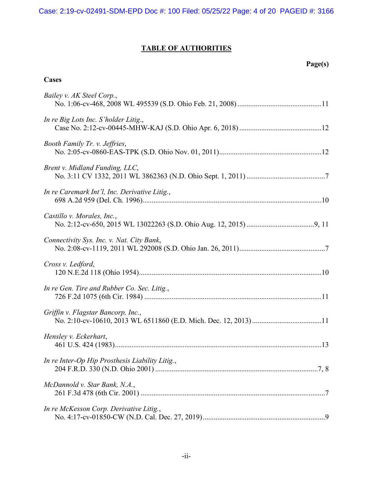# **TABLE OF AUTHORITIES**

# **Page(s)**

### **Cases**

| Bailey v. AK Steel Corp.,                       |
|-------------------------------------------------|
| In re Big Lots Inc. S'holder Litig.,            |
| Booth Family Tr. v. Jeffries,                   |
| Brent v. Midland Funding, LLC,                  |
| In re Caremark Int'l, Inc. Derivative Litig.,   |
| Castillo v. Morales, Inc.,                      |
| Connectivity Sys. Inc. v. Nat. City Bank,       |
| Cross v. Ledford,                               |
| In re Gen. Tire and Rubber Co. Sec. Litig.,     |
| Griffin v. Flagstar Bancorp, Inc.,              |
| Hensley v. Eckerhart,                           |
| In re Inter-Op Hip Prosthesis Liability Litig., |
| McDannold v. Star Bank, N.A.,                   |
| In re McKesson Corp. Derivative Litig.,         |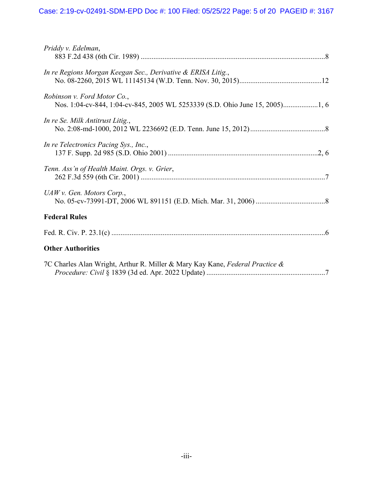# Case: 2:19-cv-02491-SDM-EPD Doc #: 100 Filed: 05/25/22 Page: 5 of 20 PAGEID #: 3167

| Priddy v. Edelman,                                                           |
|------------------------------------------------------------------------------|
| In re Regions Morgan Keegan Sec., Derivative & ERISA Litig.,                 |
| Robinson v. Ford Motor Co.,                                                  |
| In re Se. Milk Antitrust Litig.,                                             |
| In re Telectronics Pacing Sys., Inc.,                                        |
| Tenn. Ass'n of Health Maint. Orgs. v. Grier,                                 |
| UAW v. Gen. Motors Corp.,                                                    |
| <b>Federal Rules</b>                                                         |
|                                                                              |
| <b>Other Authorities</b>                                                     |
| 7C Charles Alan Wright, Arthur R. Miller & Mary Kay Kane, Federal Practice & |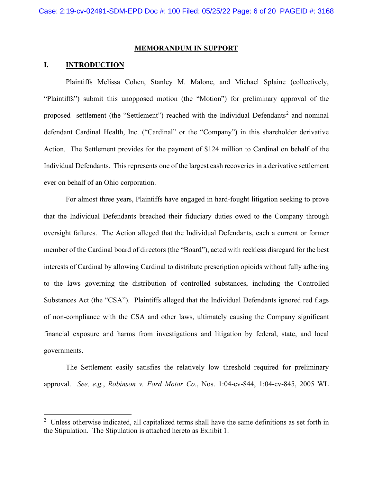#### **MEMORANDUM IN SUPPORT**

#### **I. INTRODUCTION**

Plaintiffs Melissa Cohen, Stanley M. Malone, and Michael Splaine (collectively, "Plaintiffs") submit this unopposed motion (the "Motion") for preliminary approval of the proposed settlement (the "Settlement") reached with the Individual Defendants<sup>2</sup> and nominal defendant Cardinal Health, Inc. ("Cardinal" or the "Company") in this shareholder derivative Action. The Settlement provides for the payment of \$124 million to Cardinal on behalf of the Individual Defendants. This represents one of the largest cash recoveries in a derivative settlement ever on behalf of an Ohio corporation.

For almost three years, Plaintiffs have engaged in hard-fought litigation seeking to prove that the Individual Defendants breached their fiduciary duties owed to the Company through oversight failures. The Action alleged that the Individual Defendants, each a current or former member of the Cardinal board of directors (the "Board"), acted with reckless disregard for the best interests of Cardinal by allowing Cardinal to distribute prescription opioids without fully adhering to the laws governing the distribution of controlled substances, including the Controlled Substances Act (the "CSA"). Plaintiffs alleged that the Individual Defendants ignored red flags of non-compliance with the CSA and other laws, ultimately causing the Company significant financial exposure and harms from investigations and litigation by federal, state, and local governments.

The Settlement easily satisfies the relatively low threshold required for preliminary approval. *See, e.g.*, *Robinson v. Ford Motor Co.*, Nos. 1:04-cv-844, 1:04-cv-845, 2005 WL

 $2$  Unless otherwise indicated, all capitalized terms shall have the same definitions as set forth in the Stipulation. The Stipulation is attached hereto as Exhibit 1.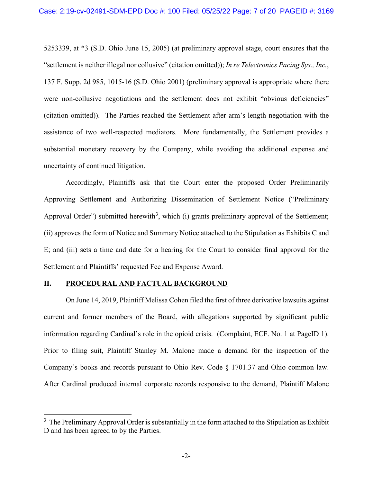5253339, at \*3 (S.D. Ohio June 15, 2005) (at preliminary approval stage, court ensures that the "settlement is neither illegal nor collusive" (citation omitted)); *In re Telectronics Pacing Sys., Inc.*, 137 F. Supp. 2d 985, 1015-16 (S.D. Ohio 2001) (preliminary approval is appropriate where there were non-collusive negotiations and the settlement does not exhibit "obvious deficiencies" (citation omitted)). The Parties reached the Settlement after arm's-length negotiation with the assistance of two well-respected mediators. More fundamentally, the Settlement provides a substantial monetary recovery by the Company, while avoiding the additional expense and uncertainty of continued litigation.

Accordingly, Plaintiffs ask that the Court enter the proposed Order Preliminarily Approving Settlement and Authorizing Dissemination of Settlement Notice ("Preliminary Approval Order") submitted herewith<sup>3</sup>, which (i) grants preliminary approval of the Settlement; (ii) approves the form of Notice and Summary Notice attached to the Stipulation as Exhibits C and E; and (iii) sets a time and date for a hearing for the Court to consider final approval for the Settlement and Plaintiffs' requested Fee and Expense Award.

#### **II. PROCEDURAL AND FACTUAL BACKGROUND**

On June 14, 2019, Plaintiff Melissa Cohen filed the first of three derivative lawsuits against current and former members of the Board, with allegations supported by significant public information regarding Cardinal's role in the opioid crisis. (Complaint, ECF. No. 1 at PageID 1). Prior to filing suit, Plaintiff Stanley M. Malone made a demand for the inspection of the Company's books and records pursuant to Ohio Rev. Code § 1701.37 and Ohio common law. After Cardinal produced internal corporate records responsive to the demand, Plaintiff Malone

 $3$  The Preliminary Approval Order is substantially in the form attached to the Stipulation as Exhibit D and has been agreed to by the Parties.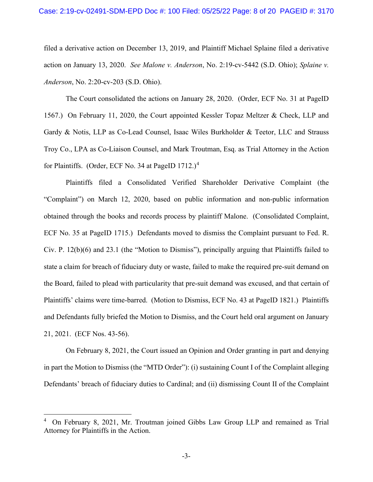filed a derivative action on December 13, 2019, and Plaintiff Michael Splaine filed a derivative action on January 13, 2020. *See Malone v. Anderson*, No. 2:19-cv-5442 (S.D. Ohio); *Splaine v. Anderson*, No. 2:20-cv-203 (S.D. Ohio).

The Court consolidated the actions on January 28, 2020. (Order, ECF No. 31 at PageID 1567.) On February 11, 2020, the Court appointed Kessler Topaz Meltzer & Check, LLP and Gardy & Notis, LLP as Co-Lead Counsel, Isaac Wiles Burkholder & Teetor, LLC and Strauss Troy Co., LPA as Co-Liaison Counsel, and Mark Troutman, Esq. as Trial Attorney in the Action for Plaintiffs. (Order, ECF No. 34 at PageID 1712.)<sup>4</sup>

Plaintiffs filed a Consolidated Verified Shareholder Derivative Complaint (the "Complaint") on March 12, 2020, based on public information and non-public information obtained through the books and records process by plaintiff Malone. (Consolidated Complaint, ECF No. 35 at PageID 1715.) Defendants moved to dismiss the Complaint pursuant to Fed. R. Civ. P. 12(b)(6) and 23.1 (the "Motion to Dismiss"), principally arguing that Plaintiffs failed to state a claim for breach of fiduciary duty or waste, failed to make the required pre-suit demand on the Board, failed to plead with particularity that pre-suit demand was excused, and that certain of Plaintiffs' claims were time-barred. (Motion to Dismiss, ECF No. 43 at PageID 1821.) Plaintiffs and Defendants fully briefed the Motion to Dismiss, and the Court held oral argument on January 21, 2021. (ECF Nos. 43-56).

On February 8, 2021, the Court issued an Opinion and Order granting in part and denying in part the Motion to Dismiss (the "MTD Order"): (i) sustaining Count I of the Complaint alleging Defendants' breach of fiduciary duties to Cardinal; and (ii) dismissing Count II of the Complaint

<sup>4</sup> On February 8, 2021, Mr. Troutman joined Gibbs Law Group LLP and remained as Trial Attorney for Plaintiffs in the Action.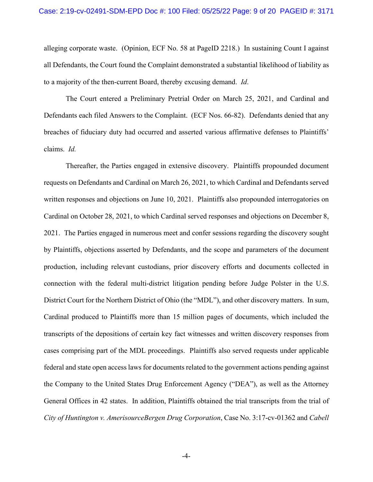alleging corporate waste. (Opinion, ECF No. 58 at PageID 2218.) In sustaining Count I against all Defendants, the Court found the Complaint demonstrated a substantial likelihood of liability as to a majority of the then-current Board, thereby excusing demand. *Id*.

The Court entered a Preliminary Pretrial Order on March 25, 2021, and Cardinal and Defendants each filed Answers to the Complaint. (ECF Nos. 66-82). Defendants denied that any breaches of fiduciary duty had occurred and asserted various affirmative defenses to Plaintiffs' claims. *Id.*

Thereafter, the Parties engaged in extensive discovery. Plaintiffs propounded document requests on Defendants and Cardinal on March 26, 2021, to which Cardinal and Defendants served written responses and objections on June 10, 2021. Plaintiffs also propounded interrogatories on Cardinal on October 28, 2021, to which Cardinal served responses and objections on December 8, 2021. The Parties engaged in numerous meet and confer sessions regarding the discovery sought by Plaintiffs, objections asserted by Defendants, and the scope and parameters of the document production, including relevant custodians, prior discovery efforts and documents collected in connection with the federal multi-district litigation pending before Judge Polster in the U.S. District Court for the Northern District of Ohio (the "MDL"), and other discovery matters. In sum, Cardinal produced to Plaintiffs more than 15 million pages of documents, which included the transcripts of the depositions of certain key fact witnesses and written discovery responses from cases comprising part of the MDL proceedings. Plaintiffs also served requests under applicable federal and state open access laws for documents related to the government actions pending against the Company to the United States Drug Enforcement Agency ("DEA"), as well as the Attorney General Offices in 42 states. In addition, Plaintiffs obtained the trial transcripts from the trial of *City of Huntington v. AmerisourceBergen Drug Corporation*, Case No. 3:17-cv-01362 and *Cabell*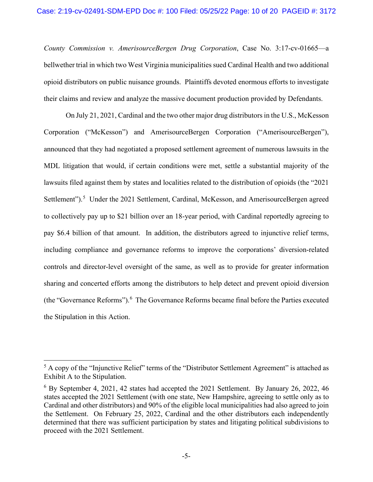*County Commission v. AmerisourceBergen Drug Corporation*, Case No. 3:17-cv-01665—a bellwether trial in which two West Virginia municipalities sued Cardinal Health and two additional opioid distributors on public nuisance grounds. Plaintiffs devoted enormous efforts to investigate their claims and review and analyze the massive document production provided by Defendants.

On July 21, 2021, Cardinal and the two other major drug distributorsin the U.S., McKesson Corporation ("McKesson") and AmerisourceBergen Corporation ("AmerisourceBergen"), announced that they had negotiated a proposed settlement agreement of numerous lawsuits in the MDL litigation that would, if certain conditions were met, settle a substantial majority of the lawsuits filed against them by states and localities related to the distribution of opioids (the "2021 Settlement").<sup>5</sup> Under the 2021 Settlement, Cardinal, McKesson, and AmerisourceBergen agreed to collectively pay up to \$21 billion over an 18-year period, with Cardinal reportedly agreeing to pay \$6.4 billion of that amount. In addition, the distributors agreed to injunctive relief terms, including compliance and governance reforms to improve the corporations' diversion-related controls and director-level oversight of the same, as well as to provide for greater information sharing and concerted efforts among the distributors to help detect and prevent opioid diversion (the "Governance Reforms").  $6$  The Governance Reforms became final before the Parties executed the Stipulation in this Action.

<sup>&</sup>lt;sup>5</sup> A copy of the "Injunctive Relief" terms of the "Distributor Settlement Agreement" is attached as Exhibit A to the Stipulation.

 $6$  By September 4, 2021, 42 states had accepted the 2021 Settlement. By January 26, 2022, 46 states accepted the 2021 Settlement (with one state, New Hampshire, agreeing to settle only as to Cardinal and other distributors) and 90% of the eligible local municipalities had also agreed to join the Settlement. On February 25, 2022, Cardinal and the other distributors each independently determined that there was sufficient participation by states and litigating political subdivisions to proceed with the 2021 Settlement.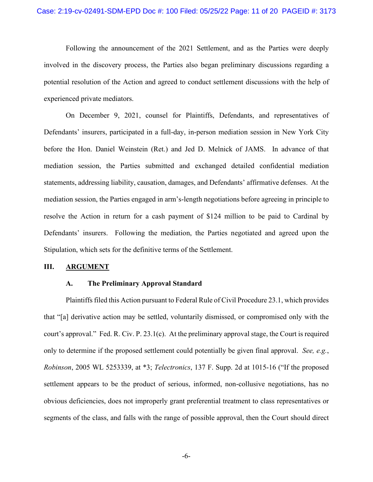Following the announcement of the 2021 Settlement, and as the Parties were deeply involved in the discovery process, the Parties also began preliminary discussions regarding a potential resolution of the Action and agreed to conduct settlement discussions with the help of experienced private mediators.

On December 9, 2021, counsel for Plaintiffs, Defendants, and representatives of Defendants' insurers, participated in a full-day, in-person mediation session in New York City before the Hon. Daniel Weinstein (Ret.) and Jed D. Melnick of JAMS. In advance of that mediation session, the Parties submitted and exchanged detailed confidential mediation statements, addressing liability, causation, damages, and Defendants' affirmative defenses. At the mediation session, the Parties engaged in arm's-length negotiations before agreeing in principle to resolve the Action in return for a cash payment of \$124 million to be paid to Cardinal by Defendants' insurers. Following the mediation, the Parties negotiated and agreed upon the Stipulation, which sets for the definitive terms of the Settlement.

#### **III. ARGUMENT**

#### **A. The Preliminary Approval Standard**

Plaintiffs filed this Action pursuant to Federal Rule of Civil Procedure 23.1, which provides that "[a] derivative action may be settled, voluntarily dismissed, or compromised only with the court's approval." Fed. R. Civ. P. 23.1(c). At the preliminary approval stage, the Court is required only to determine if the proposed settlement could potentially be given final approval. *See, e.g.*, *Robinson*, 2005 WL 5253339, at \*3; *Telectronics*, 137 F. Supp. 2d at 1015-16 ("If the proposed settlement appears to be the product of serious, informed, non-collusive negotiations, has no obvious deficiencies, does not improperly grant preferential treatment to class representatives or segments of the class, and falls with the range of possible approval, then the Court should direct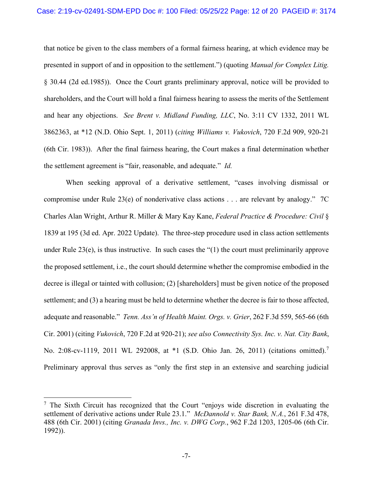that notice be given to the class members of a formal fairness hearing, at which evidence may be presented in support of and in opposition to the settlement.") (quoting *Manual for Complex Litig.*  § 30.44 (2d ed.1985)). Once the Court grants preliminary approval, notice will be provided to shareholders, and the Court will hold a final fairness hearing to assess the merits of the Settlement and hear any objections. *See Brent v. Midland Funding, LLC*, No. 3:11 CV 1332, 2011 WL 3862363, at \*12 (N.D. Ohio Sept. 1, 2011) (*citing Williams v. Vukovich*, 720 F.2d 909, 920-21 (6th Cir. 1983)). After the final fairness hearing, the Court makes a final determination whether the settlement agreement is "fair, reasonable, and adequate." *Id.* 

When seeking approval of a derivative settlement, "cases involving dismissal or compromise under Rule 23(e) of nonderivative class actions . . . are relevant by analogy." 7C Charles Alan Wright, Arthur R. Miller & Mary Kay Kane, *Federal Practice & Procedure: Civil* § 1839 at 195 (3d ed. Apr. 2022 Update). The three-step procedure used in class action settlements under Rule 23(e), is thus instructive. In such cases the "(1) the court must preliminarily approve the proposed settlement, i.e., the court should determine whether the compromise embodied in the decree is illegal or tainted with collusion; (2) [shareholders] must be given notice of the proposed settlement; and (3) a hearing must be held to determine whether the decree is fair to those affected, adequate and reasonable." *Tenn. Ass'n of Health Maint. Orgs. v. Grier*, 262 F.3d 559, 565-66 (6th Cir. 2001) (citing *Vukovich*, 720 F.2d at 920-21); *see also Connectivity Sys. Inc. v. Nat. City Bank*, No. 2:08-cv-1119, 2011 WL 292008, at \*1 (S.D. Ohio Jan. 26, 2011) (citations omitted).<sup>7</sup> Preliminary approval thus serves as "only the first step in an extensive and searching judicial

 $<sup>7</sup>$  The Sixth Circuit has recognized that the Court "enjoys wide discretion in evaluating the</sup> settlement of derivative actions under Rule 23.1." *McDannold v. Star Bank, N.A.*, 261 F.3d 478, 488 (6th Cir. 2001) (citing *Granada Invs., Inc. v. DWG Corp.*, 962 F.2d 1203, 1205-06 (6th Cir. 1992)).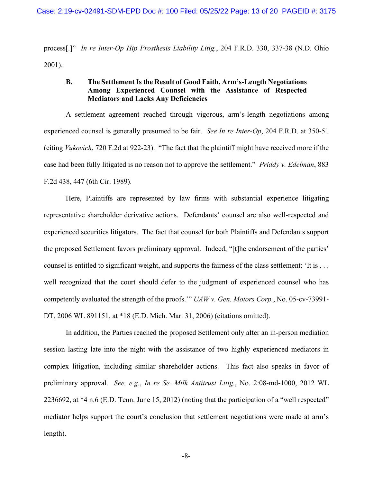process[.]" *In re Inter-Op Hip Prosthesis Liability Litig.*, 204 F.R.D. 330, 337-38 (N.D. Ohio 2001).

## **B. The Settlement Is the Result of Good Faith, Arm's-Length Negotiations Among Experienced Counsel with the Assistance of Respected Mediators and Lacks Any Deficiencies**

A settlement agreement reached through vigorous, arm's-length negotiations among experienced counsel is generally presumed to be fair. *See In re Inter-Op*, 204 F.R.D. at 350-51 (citing *Vukovich*, 720 F.2d at 922-23). "The fact that the plaintiff might have received more if the case had been fully litigated is no reason not to approve the settlement." *Priddy v. Edelman*, 883 F.2d 438, 447 (6th Cir. 1989).

Here, Plaintiffs are represented by law firms with substantial experience litigating representative shareholder derivative actions. Defendants' counsel are also well-respected and experienced securities litigators. The fact that counsel for both Plaintiffs and Defendants support the proposed Settlement favors preliminary approval. Indeed, "[t]he endorsement of the parties' counsel is entitled to significant weight, and supports the fairness of the class settlement: 'It is . . . well recognized that the court should defer to the judgment of experienced counsel who has competently evaluated the strength of the proofs.'" *UAW v. Gen. Motors Corp.*, No. 05-cv-73991- DT, 2006 WL 891151, at \*18 (E.D. Mich. Mar. 31, 2006) (citations omitted).

In addition, the Parties reached the proposed Settlement only after an in-person mediation session lasting late into the night with the assistance of two highly experienced mediators in complex litigation, including similar shareholder actions. This fact also speaks in favor of preliminary approval. *See, e.g.*, *In re Se. Milk Antitrust Litig.*, No. 2:08-md-1000, 2012 WL 2236692, at \*4 n.6 (E.D. Tenn. June 15, 2012) (noting that the participation of a "well respected" mediator helps support the court's conclusion that settlement negotiations were made at arm's length).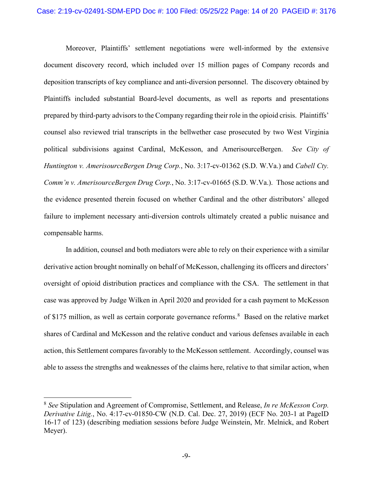Moreover, Plaintiffs' settlement negotiations were well-informed by the extensive document discovery record, which included over 15 million pages of Company records and deposition transcripts of key compliance and anti-diversion personnel. The discovery obtained by Plaintiffs included substantial Board-level documents, as well as reports and presentations prepared by third-party advisors to the Company regarding their role in the opioid crisis. Plaintiffs' counsel also reviewed trial transcripts in the bellwether case prosecuted by two West Virginia political subdivisions against Cardinal, McKesson, and AmerisourceBergen. *See City of Huntington v. AmerisourceBergen Drug Corp.*, No. 3:17-cv-01362 (S.D. W.Va.) and *Cabell Cty. Comm'n v. AmerisourceBergen Drug Corp.*, No. 3:17-cv-01665 (S.D. W.Va.). Those actions and the evidence presented therein focused on whether Cardinal and the other distributors' alleged failure to implement necessary anti-diversion controls ultimately created a public nuisance and compensable harms.

In addition, counsel and both mediators were able to rely on their experience with a similar derivative action brought nominally on behalf of McKesson, challenging its officers and directors' oversight of opioid distribution practices and compliance with the CSA. The settlement in that case was approved by Judge Wilken in April 2020 and provided for a cash payment to McKesson of \$175 million, as well as certain corporate governance reforms.<sup>8</sup> Based on the relative market shares of Cardinal and McKesson and the relative conduct and various defenses available in each action, this Settlement compares favorably to the McKesson settlement. Accordingly, counsel was able to assess the strengths and weaknesses of the claims here, relative to that similar action, when

<sup>8</sup> *See* Stipulation and Agreement of Compromise, Settlement, and Release, *In re McKesson Corp. Derivative Litig.*, No. 4:17-cv-01850-CW (N.D. Cal. Dec. 27, 2019) (ECF No. 203-1 at PageID 16-17 of 123) (describing mediation sessions before Judge Weinstein, Mr. Melnick, and Robert Meyer).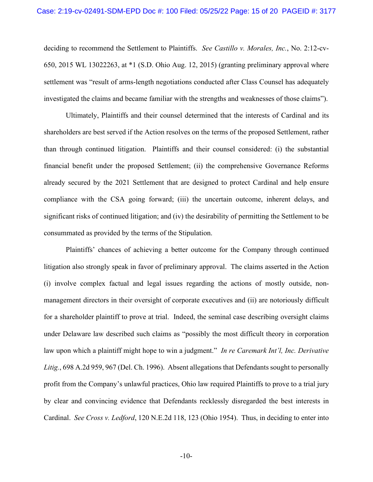deciding to recommend the Settlement to Plaintiffs. *See Castillo v. Morales, Inc.*, No. 2:12-cv-650, 2015 WL 13022263, at \*1 (S.D. Ohio Aug. 12, 2015) (granting preliminary approval where settlement was "result of arms-length negotiations conducted after Class Counsel has adequately investigated the claims and became familiar with the strengths and weaknesses of those claims").

Ultimately, Plaintiffs and their counsel determined that the interests of Cardinal and its shareholders are best served if the Action resolves on the terms of the proposed Settlement, rather than through continued litigation. Plaintiffs and their counsel considered: (i) the substantial financial benefit under the proposed Settlement; (ii) the comprehensive Governance Reforms already secured by the 2021 Settlement that are designed to protect Cardinal and help ensure compliance with the CSA going forward; (iii) the uncertain outcome, inherent delays, and significant risks of continued litigation; and (iv) the desirability of permitting the Settlement to be consummated as provided by the terms of the Stipulation.

Plaintiffs' chances of achieving a better outcome for the Company through continued litigation also strongly speak in favor of preliminary approval. The claims asserted in the Action (i) involve complex factual and legal issues regarding the actions of mostly outside, nonmanagement directors in their oversight of corporate executives and (ii) are notoriously difficult for a shareholder plaintiff to prove at trial. Indeed, the seminal case describing oversight claims under Delaware law described such claims as "possibly the most difficult theory in corporation law upon which a plaintiff might hope to win a judgment." *In re Caremark Int'l, Inc. Derivative Litig.*, 698 A.2d 959, 967 (Del. Ch. 1996). Absent allegations that Defendants sought to personally profit from the Company's unlawful practices, Ohio law required Plaintiffs to prove to a trial jury by clear and convincing evidence that Defendants recklessly disregarded the best interests in Cardinal. *See Cross v. Ledford*, 120 N.E.2d 118, 123 (Ohio 1954). Thus, in deciding to enter into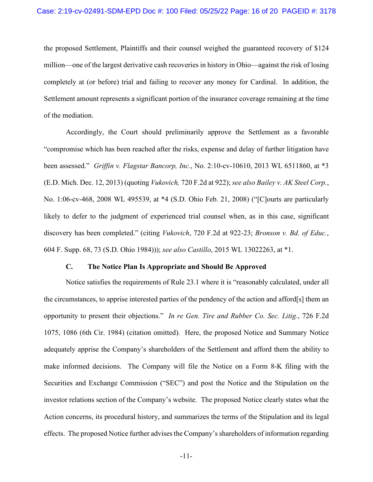the proposed Settlement, Plaintiffs and their counsel weighed the guaranteed recovery of \$124 million—one of the largest derivative cash recoveries in history in Ohio—against the risk of losing completely at (or before) trial and failing to recover any money for Cardinal. In addition, the Settlement amount represents a significant portion of the insurance coverage remaining at the time of the mediation.

Accordingly, the Court should preliminarily approve the Settlement as a favorable "compromise which has been reached after the risks, expense and delay of further litigation have been assessed." *Griffin v. Flagstar Bancorp, Inc.*, No. 2:10-cv-10610, 2013 WL 6511860, at \*3 (E.D. Mich. Dec. 12, 2013) (quoting *Vukovich,* 720 F.2d at 922); *see also Bailey v. AK Steel Corp.*, No. 1:06-cv-468, 2008 WL 495539, at \*4 (S.D. Ohio Feb. 21, 2008) ("[C]ourts are particularly likely to defer to the judgment of experienced trial counsel when, as in this case, significant discovery has been completed." (citing *Vukovich*, 720 F.2d at 922-23; *Bronson v. Bd. of Educ.*, 604 F. Supp. 68, 73 (S.D. Ohio 1984))); *see also Castillo*, 2015 WL 13022263, at \*1.

#### **C. The Notice Plan Is Appropriate and Should Be Approved**

Notice satisfies the requirements of Rule 23.1 where it is "reasonably calculated, under all the circumstances, to apprise interested parties of the pendency of the action and afford[s] them an opportunity to present their objections." *In re Gen. Tire and Rubber Co. Sec. Litig.*, 726 F.2d 1075, 1086 (6th Cir. 1984) (citation omitted). Here, the proposed Notice and Summary Notice adequately apprise the Company's shareholders of the Settlement and afford them the ability to make informed decisions. The Company will file the Notice on a Form 8-K filing with the Securities and Exchange Commission ("SEC") and post the Notice and the Stipulation on the investor relations section of the Company's website. The proposed Notice clearly states what the Action concerns, its procedural history, and summarizes the terms of the Stipulation and its legal effects. The proposed Notice further advisesthe Company's shareholders of information regarding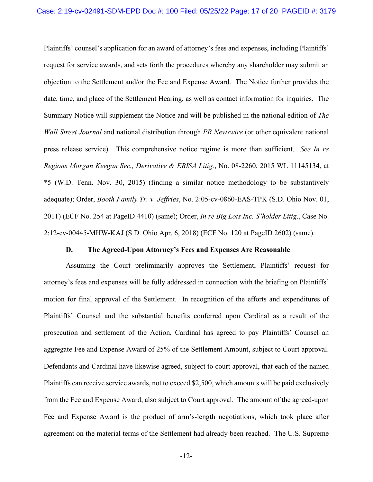Plaintiffs' counsel's application for an award of attorney's fees and expenses, including Plaintiffs' request for service awards, and sets forth the procedures whereby any shareholder may submit an objection to the Settlement and/or the Fee and Expense Award. The Notice further provides the date, time, and place of the Settlement Hearing, as well as contact information for inquiries. The Summary Notice will supplement the Notice and will be published in the national edition of *The Wall Street Journal* and national distribution through *PR Newswire* (or other equivalent national press release service). This comprehensive notice regime is more than sufficient. *See In re Regions Morgan Keegan Sec., Derivative & ERISA Litig.*, No. 08-2260, 2015 WL 11145134, at \*5 (W.D. Tenn. Nov. 30, 2015) (finding a similar notice methodology to be substantively adequate); Order, *Booth Family Tr. v. Jeffries*, No. 2:05-cv-0860-EAS-TPK (S.D. Ohio Nov. 01, 2011) (ECF No. 254 at PageID 4410) (same); Order, *In re Big Lots Inc. S'holder Litig*., Case No. 2:12-cv-00445-MHW-KAJ (S.D. Ohio Apr. 6, 2018) (ECF No. 120 at PageID 2602) (same).

#### **D. The Agreed-Upon Attorney's Fees and Expenses Are Reasonable**

Assuming the Court preliminarily approves the Settlement, Plaintiffs' request for attorney's fees and expenses will be fully addressed in connection with the briefing on Plaintiffs' motion for final approval of the Settlement. In recognition of the efforts and expenditures of Plaintiffs' Counsel and the substantial benefits conferred upon Cardinal as a result of the prosecution and settlement of the Action, Cardinal has agreed to pay Plaintiffs' Counsel an aggregate Fee and Expense Award of 25% of the Settlement Amount, subject to Court approval. Defendants and Cardinal have likewise agreed, subject to court approval, that each of the named Plaintiffs can receive service awards, not to exceed \$2,500, which amounts will be paid exclusively from the Fee and Expense Award, also subject to Court approval. The amount of the agreed-upon Fee and Expense Award is the product of arm's-length negotiations, which took place after agreement on the material terms of the Settlement had already been reached. The U.S. Supreme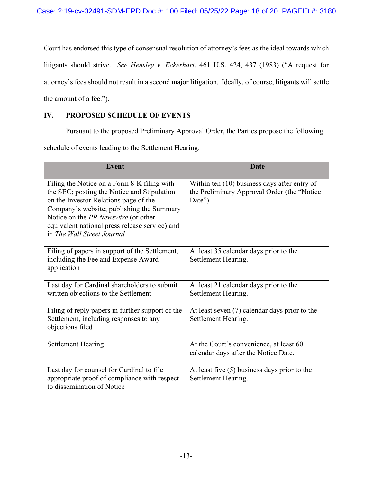Court has endorsed this type of consensual resolution of attorney's fees as the ideal towards which litigants should strive. *See Hensley v. Eckerhart*, 461 U.S. 424, 437 (1983) ("A request for attorney's fees should not result in a second major litigation. Ideally, of course, litigants will settle the amount of a fee.").

# **IV. PROPOSED SCHEDULE OF EVENTS**

Pursuant to the proposed Preliminary Approval Order, the Parties propose the following schedule of events leading to the Settlement Hearing:

| <b>Event</b>                                                                                                                                                                                                                                                                                            | <b>Date</b>                                                                                            |
|---------------------------------------------------------------------------------------------------------------------------------------------------------------------------------------------------------------------------------------------------------------------------------------------------------|--------------------------------------------------------------------------------------------------------|
| Filing the Notice on a Form 8-K filing with<br>the SEC; posting the Notice and Stipulation<br>on the Investor Relations page of the<br>Company's website; publishing the Summary<br>Notice on the PR Newswire (or other<br>equivalent national press release service) and<br>in The Wall Street Journal | Within ten (10) business days after entry of<br>the Preliminary Approval Order (the "Notice<br>Date"). |
| Filing of papers in support of the Settlement,<br>including the Fee and Expense Award<br>application                                                                                                                                                                                                    | At least 35 calendar days prior to the<br>Settlement Hearing.                                          |
| Last day for Cardinal shareholders to submit<br>written objections to the Settlement                                                                                                                                                                                                                    | At least 21 calendar days prior to the<br>Settlement Hearing.                                          |
| Filing of reply papers in further support of the<br>Settlement, including responses to any<br>objections filed                                                                                                                                                                                          | At least seven $(7)$ calendar days prior to the<br>Settlement Hearing.                                 |
| <b>Settlement Hearing</b>                                                                                                                                                                                                                                                                               | At the Court's convenience, at least 60<br>calendar days after the Notice Date.                        |
| Last day for counsel for Cardinal to file<br>appropriate proof of compliance with respect<br>to dissemination of Notice                                                                                                                                                                                 | At least five $(5)$ business days prior to the<br>Settlement Hearing.                                  |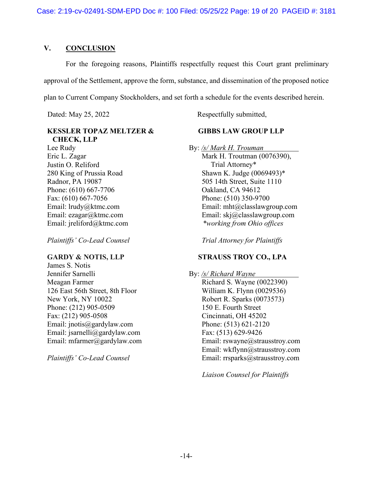### **V. CONCLUSION**

For the foregoing reasons, Plaintiffs respectfully request this Court grant preliminary approval of the Settlement, approve the form, substance, and dissemination of the proposed notice plan to Current Company Stockholders, and set forth a schedule for the events described herein.

## **KESSLER TOPAZ MELTZER & CHECK, LLP**

Lee Rudy Eric L. Zagar Justin O. Reliford 280 King of Prussia Road Radnor, PA 19087 Phone: (610) 667-7706 Fax: (610) 667-7056 Email: lrudy@ktmc.com Email: ezagar@ktmc.com Email: jreliford@ktmc.com

*Plaintiffs' Co-Lead Counsel* 

#### **GARDY & NOTIS, LLP**

James S. Notis Jennifer Sarnelli Meagan Farmer 126 East 56th Street, 8th Floor New York, NY 10022 Phone: (212) 905-0509 Fax: (212) 905-0508 Email: jnotis@gardylaw.com Email: jsarnelli@gardylaw.com Email: mfarmer@gardylaw.com

*Plaintiffs' Co-Lead Counsel* 

Dated: May 25, 2022 Respectfully submitted,

## **GIBBS LAW GROUP LLP**

By: */s/ Mark H. Trouman* 

 Mark H. Troutman (0076390), Trial Attorney\* Shawn K. Judge (0069493)\* 505 14th Street, Suite 1110 Oakland, CA 94612 Phone: (510) 350-9700 Email: mht@classlawgroup.com Email: skj@classlawgroup.com *\*working from Ohio offices* 

*Trial Attorney for Plaintiffs* 

## **STRAUSS TROY CO., LPA**

By: */s/ Richard Wayne*  Richard S. Wayne (0022390) William K. Flynn (0029536) Robert R. Sparks (0073573) 150 E. Fourth Street Cincinnati, OH 45202 Phone: (513) 621-2120 Fax: (513) 629-9426 Email: rswayne@strausstroy.com Email: wkflynn@strausstroy.com Email: rrsparks@strausstroy.com

*Liaison Counsel for Plaintiffs*